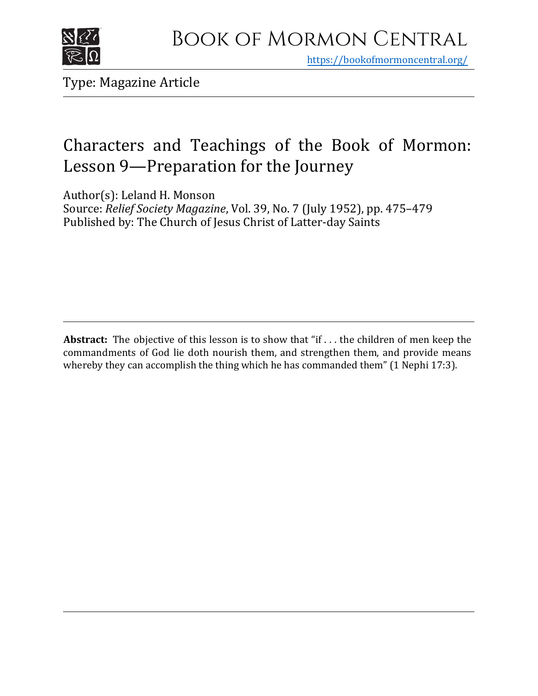

https[://bookofmormoncentral.org/](http://bookofmormoncentral.org/)

Type: Magazine Article

## Characters and Teachings of the Book of Mormon: Lesson 9—Preparation for the Journey

Author(s): Leland H. Monson

Source: *Relief Society Magazine*, Vol. 39, No. 7 (July 1952), pp. 475–479 Published by: The Church of Jesus Christ of Latter-day Saints

**Abstract:** The objective of this lesson is to show that "if . . . the children of men keep the commandments of God lie doth nourish them, and strengthen them, and provide means whereby they can accomplish the thing which he has commanded them" (1 Nephi 17:3).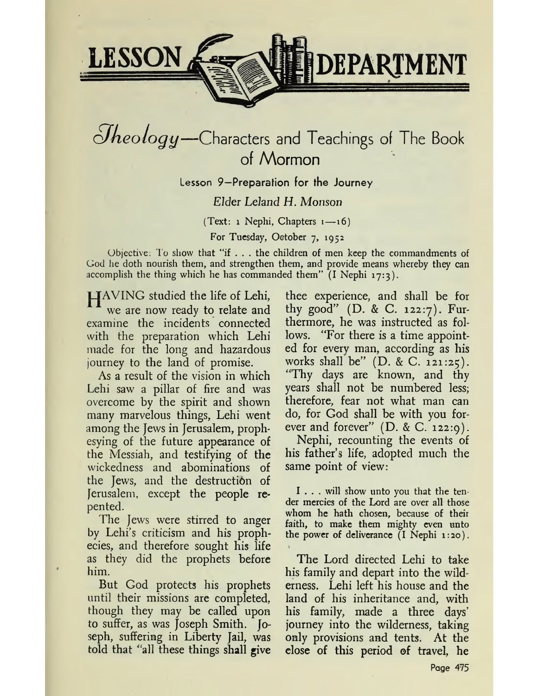

# $\partial$ *heology*—Characters and Teachings of The Book of Mormon

Lesson 9—Preparation for the Journey

## *Elder Leland H. Monson*

(Text: <sup>1</sup> Nephi, Chapters i—16)

For Tuesday, October 7, 1952

Objective: To show that "if  $\dots$  the children of men keep the commandments of God he doth nourish them, and strengthen them, and provide means whereby they can accomplish the thing which he has commanded them"  $(I \nNephi 17:3)$ .

|\_|AVING studied the life of Lehi, we are now ready to relate and examine the incidents connected with the preparation which Lehi made for the long and hazardous journey to the land of promise.

As a result of the vision in which Lehi saw a pillar of fire and was overcome by the spirit and shown many marvelous things, Lehi went among the Jews in Jerusalem, prophesying of the future appearance of the Messiah, and testifying of the wickedness and abominations of the Jews, and the destruction of Jerusalem, except the people repented.

The Jews were stirred to anger by Lehi's criticism and his proph ecies, and therefore sought his life as they did the prophets before him.

But God protects his prophets until their missions arc completed, though they may be called upon to suffer, as was Joseph Smith. Joseph, suffering in Liberty fail, was told that 'all these things shall give

thee experience, and shall be for thy good" (D. & C. 122:7). Furthermore, he was instructed as follows. "For there is a time appointed for every man, according as his works shall be" (D. & C. 121:25). Thy days are known, and thy years shall not be numbered less; therefore, fear not what man can do, for God shall be with you forever and forever" (D. & C. 122:9).

Nephi, recounting the events of his father'<sup>s</sup> life, adopted much the same point of view:

<sup>I</sup> ... will show unto you that the tender mercies of the Lord are over all those whom he hath chosen, because of their faith, to make them mighty even unto the power of deliverance  $(I \text{ Nephi } 1:20)$ .

The Lord directed Lehi to take his family and depart into the wilderness. Lehi left his house and the land of his inheritance and, with his family, made a three days' journey into the wilderness, taking only provisions and tents. At the close of this period of travel, he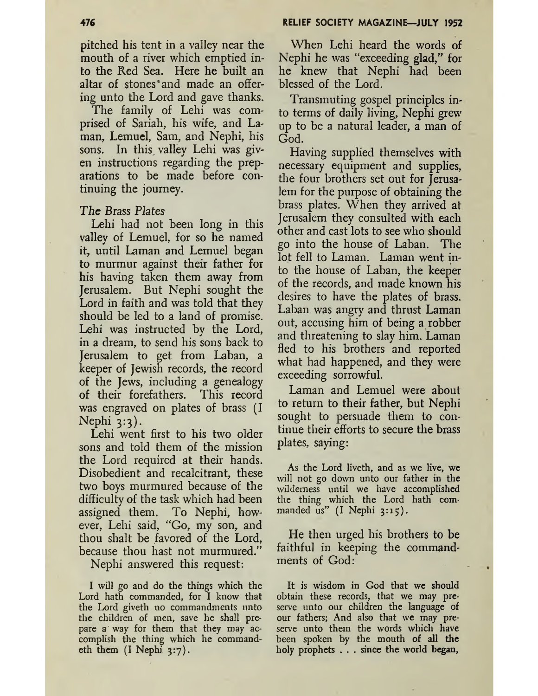pitched his tent in a valley near the mouth of a river which emptied into the Red Sea. Here he built an altar of stones'and made an offering unto the Lord and gave thanks.

The family of Lehi was comprised of Sariah, his wife, and Laman, Lemuel, Sam, and Nephi, his sons. In this valley Lehi was given instructions regarding the preparations to be made before continuing the journey.

### The Brass *Plates*

Lehi had not been long in this valley of Lemuel, for so he named it, until Laman and Lemuel began to murmur against their father for his having taken them away from Jerusalem. But Nephi sought the Lord in faith and was told that they should be led to a land of promise. Lehi was instructed by the Lord, in a dream, to send his sons back to Jerusalem to get from Laban, a keeper of Jewish records, the record of the Jews, including a genealogy of their forefathers. This record was engraved on plates of brass (I Nephi  $3:3$ ).

Lehi went first to his two older sons and told them of the mission the Lord required at their hands. Disobedient and recalcitrant, these two boys murmured because of the difficulty of the task which had been assigned them. To Nephi, however, Lehi said, "Go, my son, and thou shalt be favored of the Lord, because thou hast not murmured."

Nephi answered this request:

I will go and do the things which the Lord hath commanded, for I know that the Lord giveth no commandments unto the children of men, save he shall prepare a way for them that they may accomplish the thing which he commandeth them  $(I$  Nephi  $3:7$ ).

When Lehi heard the words of Nephi he was "exceeding glad," for he knew that Nephi had been blessed of the Lord.

Transmuting gospel principles into terms of daily living, Nephi grew up to be a natural leader, a man of God.

Having supplied themselves with necessary equipment and supplies, the four brothers set out for Jerusalem for the purpose of obtaining the brass plates. When they arrived at Jerusalem they consulted with each other and cast lots to see who should go into the house of Laban. The lot fell to Laman. Laman went into the house of Laban, the keeper of the records, and made known his desires to have the plates of brass. Laban was angry and thrust Laman out, accusing him of being a robber and threatening to slay him. Laman fled to his brothers and reported what had happened, and they were exceeding sorrowful.

Laman and Lemuel were about to return to their father, but Nephi sought to persuade them to continue their efforts to secure the brass plates, saying:

As the Lord liveth, and as we live, we will not go down unto our father in the wilderness until we have accomplished the thing which the Lord hath commanded us" (I Nephi 3:15).

He then urged his brothers to be faithful in keeping the commandments of God:

It is wisdom in God that we should obtain these records, that we may preserve unto our children the language of our fathers; And also that we may preserve unto them the words which have been spoken by the mouth of all the holy prophets . . . since the world began,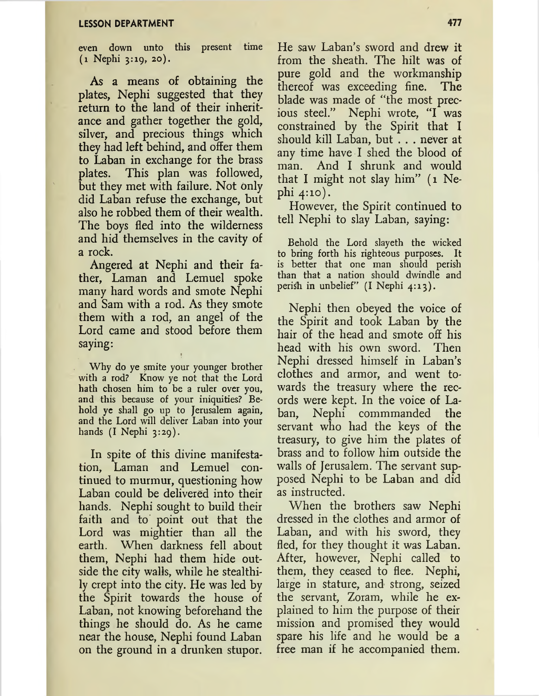even down unto this present time (1 Nephi 3:19, 20).

As a means of obtaining the plates, Nephi suggested that they return to the land of their inheritance and gather together the gold, silver, and precious things which they had left behind, and offer them to Laban in exchange for the brass plates. This plan was followed, but they met with failure. Not only did Laban refuse the exchange, but also he robbed them of their wealth. The boys fled into the wilderness and hid themselves in the cavity of a rock.

Angered at Nephi and their father, Laman and Lemuel spoke many hard words and smote Nephi and Sam with a rod. As they smote them with a rod, an angel of the Lord came and stood before them saying:

Why do ye smite your younger brother with a rod? Know ye not that the Lord hath chosen him to be a ruler over you, and this because of your iniquities? Behold ye shall go up to Jerusalem again, and the Lord will deliver Laban into your hands  $(I \nNephi \n3:29)$ .

In spite of this divine manifestation, Laman and Lemuel continued to murmur, questioning how Laban could be delivered into their hands. Nephi sought to build their faith and to point out that the Lord was mightier than all the earth. When darkness fell about them, Nephi had them hide outside the city walls, while he stealthily crept into the city. He was led by the Spirit towards the house of Laban, not knowing beforehand the things he should do. As he came near the house, Nephi found Laban on the ground in a drunken stupor.

He saw Laban'<sup>s</sup> sword and drew it from the sheath. The hilt was of pure gold and the workmanship thereof was exceeding fine. The blade was made of "the most precious steel." Nephi wrote, "I was constrained by the Spirit that I should kill Laban, but . . . never at any time have I shed the blood of man. And I shrunk and would that I might not slay him" (1 Nephi 4:10).

However, the Spirit continued to tell Nephi to slay Laban, saying:

Behold the Lord slayeth the wicked to bring forth his righteous purposes. It is better that one man should perish than that a nation should dwindle and perish in unbelief" (I Nephi 4:13).

Nephi then obeyed the voice of the Spirit and took Laban by the hair of the head and smote off his<br>head with his own sword. Then head with his own sword. Nephi dressed himself in Laban'<sup>s</sup> clothes and armor, and went towards the treasury where the records were kept. In the voice of Laban, Nephi commmanded the servant who had the keys of the treasury, to give him the plates of brass and to follow him outside the walls of Jerusalem. The servant supposed Nephi to be Laban and did as instructed.

When the brothers saw Nephi dressed in the clothes and armor of Laban, and with his sword, they fled, for they thought it was Laban. After, however, Nephi called to them, they ceased to flee. Nephi, large in stature, and strong, seized the servant, Zoram, while he explained to him the purpose of their mission and promised they would spare his life and he would be a free man if he accompanied them.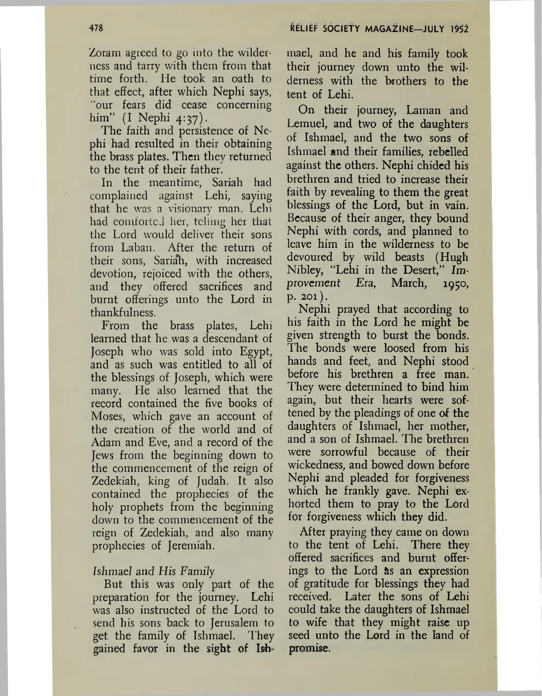Zoram agreed to *go* into the wilderness and tarry with them from that time forth. He took an oath to that effect, after which Nephi says, "our fears did cease concerning him" (I Nephi 4:37).

The faith and persistence of Nephi had resulted in their obtaining the brass plates. Then they returned to the tent of their father.

In the meantime, Sariah had complained against Lehi, saying that he was a visionary man. Lehi had comforted her, telling her that the Lord would deliver their sons from Laban. After the return of their sons, Sariah, with increased devotion, rejoiced with the others, and they offered sacrifices and burnt offerings unto the Lord in thankfulness.

From the brass plates, Lehi learned that he was a descendant of Joseph who was sold into Egypt, and as such was entitled to all of the blessings of Joseph, which were many. He also learned that the record contained the five books of Moses, which gave an account of the creation of the world and of Adam and Eve, and a record of the Jews from the beginning down to the commencement of the reign of Zedekiah, king of Judah. It also contained the prophecies of the holy prophets from the beginning down to the commencement of the reign of Zedekiah, and also many prophecies of Jeremiah.

#### Ishmael *and His Family*

But this was only part of the preparation for the journey. Lehi was also instructed of the Lord to send his sons back to Jerusalem to get the family of Ishmael. They gained favor in the sight of Ishmael, and he and his family took their journey down unto the wilderness with the brothers to the tent of Lehi.

On their journey, Laman and Lemuel, and two of the daughters of Ishmael, and the two sons of Ishmael and their families, rebelled against the others. Nephi chided his brethren and tried to increase their faith by revealing to them the great blessings of the Lord, but in vain. Because of their anger, they bound Nephi with cords, and planned to leave him in the wilderness to be devoured by wild beasts (Hugh Nibley, "Lehi in the Desert," Im*provement Era,* March, 1950, p. 201).

Nephi prayed that according to his faith in the Lord he might be given strength to burst the bonds. The bonds were loosed from his hands and feet, and Nephi stood before his brethren a free man. They were determined to bind him again, but their hearts were softened by the pleadings of one of the daughters of Ishmael, her mother, and a son of Ishmael. The brethren were sorrowful because of their wickedness, and bowed down before Nephi and pleaded for forgiveness which he frankly gave. Nephi exhorted them to pray to the Lord for forgiveness which they did.

After praying they came on down to the tent of Lehi. There they offered sacrifices and burnt offerings to the Lord as an expression of gratitude for blessings they had received. Later the sons of Lehi could take the daughters of Ishmael to wife that they might raise up seed unto the Lord in the land of promise.